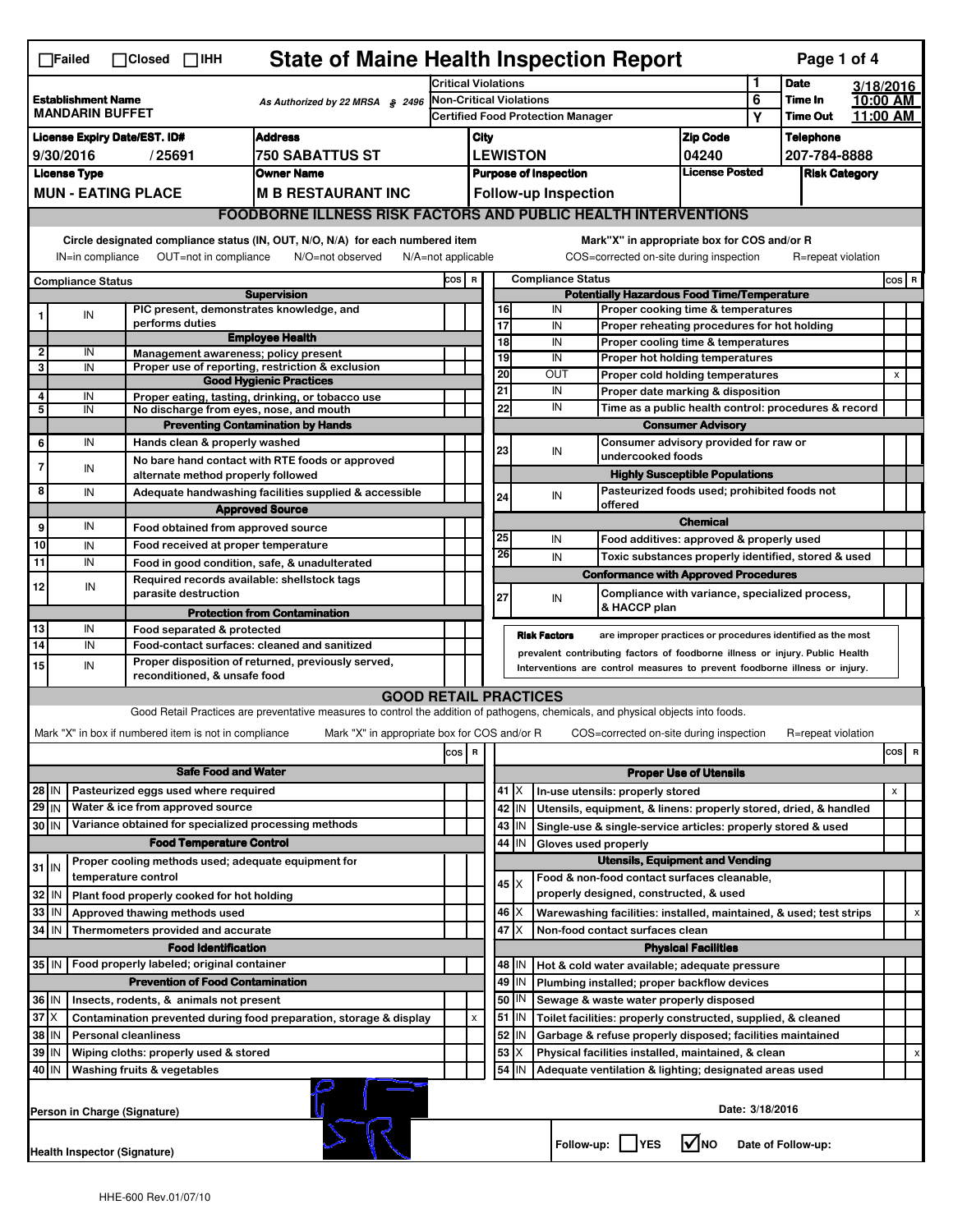|                                                                                        | <b>State of Maine Health Inspection Report</b><br>Page 1 of 4<br>$\Box$ Failed<br>$\Box$ Closed $\Box$ IHH                                                                                                                                                                                |                                   |                                                                            |                                                                                                                                                                                                                                                                  |       |                                                                                      |                                 |          |                     |                              |                                                                                       |                               |                            |                      |  |                |   |
|----------------------------------------------------------------------------------------|-------------------------------------------------------------------------------------------------------------------------------------------------------------------------------------------------------------------------------------------------------------------------------------------|-----------------------------------|----------------------------------------------------------------------------|------------------------------------------------------------------------------------------------------------------------------------------------------------------------------------------------------------------------------------------------------------------|-------|--------------------------------------------------------------------------------------|---------------------------------|----------|---------------------|------------------------------|---------------------------------------------------------------------------------------|-------------------------------|----------------------------|----------------------|--|----------------|---|
|                                                                                        |                                                                                                                                                                                                                                                                                           |                                   |                                                                            |                                                                                                                                                                                                                                                                  |       |                                                                                      | 1<br><b>Critical Violations</b> |          |                     |                              |                                                                                       |                               | <b>Date</b>                | 3/18/2016            |  |                |   |
| <b>Establishment Name</b><br>As Authorized by 22 MRSA § 2496<br><b>MANDARIN BUFFET</b> |                                                                                                                                                                                                                                                                                           |                                   |                                                                            |                                                                                                                                                                                                                                                                  |       | 6<br><b>Non-Critical Violations</b><br>Υ<br><b>Certified Food Protection Manager</b> |                                 |          |                     |                              |                                                                                       |                               | Time In<br><b>Time Out</b> | 10:00 AM<br>11:00 AM |  |                |   |
| <b>Address</b><br><b>License Expiry Date/EST. ID#</b>                                  |                                                                                                                                                                                                                                                                                           |                                   |                                                                            |                                                                                                                                                                                                                                                                  |       |                                                                                      | City                            |          |                     |                              |                                                                                       | <b>Zip Code</b>               |                            | <b>Telephone</b>     |  |                |   |
|                                                                                        | /25691<br>9/30/2016<br>750 SABATTUS ST                                                                                                                                                                                                                                                    |                                   |                                                                            |                                                                                                                                                                                                                                                                  |       |                                                                                      | <b>LEWISTON</b>                 |          |                     |                              |                                                                                       | 04240                         |                            | 207-784-8888         |  |                |   |
|                                                                                        | <b>License Type</b><br><b>Owner Name</b>                                                                                                                                                                                                                                                  |                                   |                                                                            |                                                                                                                                                                                                                                                                  |       |                                                                                      |                                 |          |                     | <b>Purpose of Inspection</b> |                                                                                       | <b>License Posted</b>         |                            | <b>Risk Category</b> |  |                |   |
|                                                                                        | <b>MUN - EATING PLACE</b><br><b>M B RESTAURANT INC</b>                                                                                                                                                                                                                                    |                                   |                                                                            |                                                                                                                                                                                                                                                                  |       |                                                                                      | <b>Follow-up Inspection</b>     |          |                     |                              |                                                                                       |                               |                            |                      |  |                |   |
|                                                                                        |                                                                                                                                                                                                                                                                                           |                                   |                                                                            | <b>FOODBORNE ILLNESS RISK FACTORS AND PUBLIC HEALTH INTERVENTIONS</b>                                                                                                                                                                                            |       |                                                                                      |                                 |          |                     |                              |                                                                                       |                               |                            |                      |  |                |   |
|                                                                                        |                                                                                                                                                                                                                                                                                           |                                   |                                                                            |                                                                                                                                                                                                                                                                  |       |                                                                                      |                                 |          |                     |                              |                                                                                       |                               |                            |                      |  |                |   |
|                                                                                        | Circle designated compliance status (IN, OUT, N/O, N/A) for each numbered item<br>Mark"X" in appropriate box for COS and/or R<br>OUT=not in compliance<br>COS=corrected on-site during inspection<br>IN=in compliance<br>N/O=not observed<br>$N/A = not$ applicable<br>R=repeat violation |                                   |                                                                            |                                                                                                                                                                                                                                                                  |       |                                                                                      |                                 |          |                     |                              |                                                                                       |                               |                            |                      |  |                |   |
| COS R<br><b>Compliance Status</b><br><b>Compliance Status</b>                          |                                                                                                                                                                                                                                                                                           |                                   |                                                                            |                                                                                                                                                                                                                                                                  |       |                                                                                      |                                 | $cos$ R  |                     |                              |                                                                                       |                               |                            |                      |  |                |   |
|                                                                                        |                                                                                                                                                                                                                                                                                           |                                   |                                                                            | <b>Supervision</b>                                                                                                                                                                                                                                               |       |                                                                                      |                                 |          |                     | IN                           | <b>Potentially Hazardous Food Time/Temperature</b>                                    |                               |                            |                      |  |                |   |
|                                                                                        | IN                                                                                                                                                                                                                                                                                        |                                   | PIC present, demonstrates knowledge, and<br>performs duties                |                                                                                                                                                                                                                                                                  |       |                                                                                      |                                 | 16<br>17 |                     | IN                           | Proper cooking time & temperatures<br>Proper reheating procedures for hot holding     |                               |                            |                      |  |                |   |
|                                                                                        |                                                                                                                                                                                                                                                                                           |                                   |                                                                            | <b>Employee Health</b>                                                                                                                                                                                                                                           |       |                                                                                      |                                 | 18       |                     | IN                           | Proper cooling time & temperatures                                                    |                               |                            |                      |  |                |   |
| $\mathbf{2}$<br>3                                                                      | IN<br>IN                                                                                                                                                                                                                                                                                  |                                   | Management awareness; policy present                                       | Proper use of reporting, restriction & exclusion                                                                                                                                                                                                                 |       |                                                                                      |                                 | 19       |                     | IN                           | <b>Proper hot holding temperatures</b>                                                |                               |                            |                      |  |                |   |
|                                                                                        |                                                                                                                                                                                                                                                                                           |                                   |                                                                            | <b>Good Hygienic Practices</b>                                                                                                                                                                                                                                   |       |                                                                                      |                                 | 20       |                     | OUT                          | Proper cold holding temperatures                                                      |                               |                            |                      |  | x              |   |
| 4                                                                                      | IN                                                                                                                                                                                                                                                                                        |                                   |                                                                            | Proper eating, tasting, drinking, or tobacco use                                                                                                                                                                                                                 |       |                                                                                      |                                 | 21       |                     | IN                           | Proper date marking & disposition                                                     |                               |                            |                      |  |                |   |
| 5                                                                                      | IN                                                                                                                                                                                                                                                                                        |                                   | No discharge from eyes, nose, and mouth                                    |                                                                                                                                                                                                                                                                  |       |                                                                                      |                                 | 22       |                     | IN                           | Time as a public health control: procedures & record                                  |                               |                            |                      |  |                |   |
|                                                                                        | IN                                                                                                                                                                                                                                                                                        |                                   |                                                                            | <b>Preventing Contamination by Hands</b>                                                                                                                                                                                                                         |       |                                                                                      |                                 |          |                     |                              |                                                                                       | <b>Consumer Advisory</b>      |                            |                      |  |                |   |
| 6                                                                                      |                                                                                                                                                                                                                                                                                           |                                   | Hands clean & properly washed                                              | No bare hand contact with RTE foods or approved                                                                                                                                                                                                                  |       |                                                                                      |                                 | 23       |                     | IN                           | Consumer advisory provided for raw or<br>undercooked foods                            |                               |                            |                      |  |                |   |
|                                                                                        | IN                                                                                                                                                                                                                                                                                        |                                   | alternate method properly followed                                         |                                                                                                                                                                                                                                                                  |       |                                                                                      |                                 |          |                     |                              | <b>Highly Susceptible Populations</b>                                                 |                               |                            |                      |  |                |   |
| 8                                                                                      | IN                                                                                                                                                                                                                                                                                        |                                   |                                                                            | Adequate handwashing facilities supplied & accessible                                                                                                                                                                                                            |       |                                                                                      |                                 | 24       |                     | IN                           | Pasteurized foods used; prohibited foods not                                          |                               |                            |                      |  |                |   |
|                                                                                        |                                                                                                                                                                                                                                                                                           | offered<br><b>Approved Source</b> |                                                                            |                                                                                                                                                                                                                                                                  |       |                                                                                      |                                 |          |                     |                              |                                                                                       |                               |                            |                      |  |                |   |
| 9                                                                                      | IN                                                                                                                                                                                                                                                                                        |                                   | Food obtained from approved source                                         |                                                                                                                                                                                                                                                                  |       |                                                                                      |                                 |          |                     |                              |                                                                                       | <b>Chemical</b>               |                            |                      |  |                |   |
| 10                                                                                     | IN                                                                                                                                                                                                                                                                                        |                                   | Food received at proper temperature                                        |                                                                                                                                                                                                                                                                  |       |                                                                                      |                                 | 25<br>26 |                     | IN                           | Food additives: approved & properly used                                              |                               |                            |                      |  |                |   |
| 11                                                                                     | IN                                                                                                                                                                                                                                                                                        |                                   | Food in good condition, safe, & unadulterated                              |                                                                                                                                                                                                                                                                  |       |                                                                                      |                                 |          |                     | IN                           | Toxic substances properly identified, stored & used                                   |                               |                            |                      |  |                |   |
| 12                                                                                     | IN                                                                                                                                                                                                                                                                                        |                                   | Required records available: shellstock tags                                |                                                                                                                                                                                                                                                                  |       |                                                                                      |                                 |          |                     |                              | <b>Conformance with Approved Procedures</b>                                           |                               |                            |                      |  |                |   |
|                                                                                        |                                                                                                                                                                                                                                                                                           |                                   | parasite destruction                                                       |                                                                                                                                                                                                                                                                  |       |                                                                                      |                                 | 27       |                     | IN                           | Compliance with variance, specialized process,<br>& HACCP plan                        |                               |                            |                      |  |                |   |
| 13                                                                                     | IN                                                                                                                                                                                                                                                                                        |                                   |                                                                            | <b>Protection from Contamination</b>                                                                                                                                                                                                                             |       |                                                                                      |                                 |          |                     |                              |                                                                                       |                               |                            |                      |  |                |   |
| 14                                                                                     | IN                                                                                                                                                                                                                                                                                        |                                   | Food separated & protected                                                 |                                                                                                                                                                                                                                                                  |       |                                                                                      |                                 |          | <b>Risk Factors</b> |                              | are improper practices or procedures identified as the most                           |                               |                            |                      |  |                |   |
| 15                                                                                     | IN                                                                                                                                                                                                                                                                                        |                                   |                                                                            | Food-contact surfaces: cleaned and sanitized<br>prevalent contributing factors of foodborne illness or injury. Public Health<br>Proper disposition of returned, previously served,<br>Interventions are control measures to prevent foodborne illness or injury. |       |                                                                                      |                                 |          |                     |                              |                                                                                       |                               |                            |                      |  |                |   |
|                                                                                        |                                                                                                                                                                                                                                                                                           |                                   | reconditioned, & unsafe food                                               |                                                                                                                                                                                                                                                                  |       |                                                                                      |                                 |          |                     |                              |                                                                                       |                               |                            |                      |  |                |   |
|                                                                                        |                                                                                                                                                                                                                                                                                           |                                   |                                                                            | <b>GOOD RETAIL PRACTICES</b>                                                                                                                                                                                                                                     |       |                                                                                      |                                 |          |                     |                              |                                                                                       |                               |                            |                      |  |                |   |
|                                                                                        |                                                                                                                                                                                                                                                                                           |                                   |                                                                            | Good Retail Practices are preventative measures to control the addition of pathogens, chemicals, and physical objects into foods.                                                                                                                                |       |                                                                                      |                                 |          |                     |                              |                                                                                       |                               |                            |                      |  |                |   |
|                                                                                        |                                                                                                                                                                                                                                                                                           |                                   | Mark "X" in box if numbered item is not in compliance                      | Mark "X" in appropriate box for COS and/or R                                                                                                                                                                                                                     |       |                                                                                      |                                 |          |                     |                              | COS=corrected on-site during inspection                                               |                               |                            | R=repeat violation   |  |                |   |
|                                                                                        |                                                                                                                                                                                                                                                                                           |                                   |                                                                            |                                                                                                                                                                                                                                                                  | COS R |                                                                                      |                                 |          |                     |                              |                                                                                       |                               |                            |                      |  | cosl           | R |
|                                                                                        |                                                                                                                                                                                                                                                                                           |                                   | <b>Safe Food and Water</b>                                                 |                                                                                                                                                                                                                                                                  |       |                                                                                      |                                 |          |                     |                              |                                                                                       | <b>Proper Use of Utensils</b> |                            |                      |  |                |   |
| $28$ IN                                                                                |                                                                                                                                                                                                                                                                                           |                                   | Pasteurized eggs used where required                                       |                                                                                                                                                                                                                                                                  |       |                                                                                      |                                 | 41   X   |                     |                              | In-use utensils: properly stored                                                      |                               |                            |                      |  | $\pmb{\times}$ |   |
| $29$ IN                                                                                |                                                                                                                                                                                                                                                                                           |                                   | Water & ice from approved source                                           |                                                                                                                                                                                                                                                                  |       |                                                                                      |                                 | 42 I IN  |                     |                              | Utensils, equipment, & linens: properly stored, dried, & handled                      |                               |                            |                      |  |                |   |
| 30 IN                                                                                  |                                                                                                                                                                                                                                                                                           |                                   | Variance obtained for specialized processing methods                       |                                                                                                                                                                                                                                                                  |       |                                                                                      |                                 | 43       | IN                  |                              | Single-use & single-service articles: properly stored & used                          |                               |                            |                      |  |                |   |
|                                                                                        |                                                                                                                                                                                                                                                                                           |                                   | <b>Food Temperature Control</b>                                            |                                                                                                                                                                                                                                                                  |       |                                                                                      |                                 | 44       | IN                  |                              | Gloves used properly                                                                  |                               |                            |                      |  |                |   |
| $31$ IN                                                                                |                                                                                                                                                                                                                                                                                           |                                   | Proper cooling methods used; adequate equipment for<br>temperature control |                                                                                                                                                                                                                                                                  |       |                                                                                      |                                 |          |                     |                              | <b>Utensils, Equipment and Vending</b><br>Food & non-food contact surfaces cleanable, |                               |                            |                      |  |                |   |
| 32                                                                                     | IN                                                                                                                                                                                                                                                                                        |                                   | Plant food properly cooked for hot holding                                 |                                                                                                                                                                                                                                                                  |       |                                                                                      |                                 | 45   X   |                     |                              | properly designed, constructed, & used                                                |                               |                            |                      |  |                |   |
| 33                                                                                     | IN                                                                                                                                                                                                                                                                                        |                                   | Approved thawing methods used                                              |                                                                                                                                                                                                                                                                  |       |                                                                                      |                                 | 46       | ΙX                  |                              | Warewashing facilities: installed, maintained, & used; test strips                    |                               |                            |                      |  |                | х |
| 34 IN                                                                                  |                                                                                                                                                                                                                                                                                           |                                   | Thermometers provided and accurate                                         |                                                                                                                                                                                                                                                                  |       |                                                                                      |                                 | 47       |                     |                              | Non-food contact surfaces clean                                                       |                               |                            |                      |  |                |   |
|                                                                                        |                                                                                                                                                                                                                                                                                           |                                   | <b>Food Identification</b>                                                 |                                                                                                                                                                                                                                                                  |       |                                                                                      |                                 |          |                     |                              |                                                                                       | <b>Physical Facilities</b>    |                            |                      |  |                |   |
| 35   IN                                                                                |                                                                                                                                                                                                                                                                                           |                                   | Food properly labeled; original container                                  |                                                                                                                                                                                                                                                                  |       |                                                                                      |                                 | 48   IN  |                     |                              | Hot & cold water available; adequate pressure                                         |                               |                            |                      |  |                |   |
|                                                                                        |                                                                                                                                                                                                                                                                                           |                                   | <b>Prevention of Food Contamination</b>                                    |                                                                                                                                                                                                                                                                  |       |                                                                                      |                                 | 49       | IN                  |                              | Plumbing installed; proper backflow devices                                           |                               |                            |                      |  |                |   |
|                                                                                        | 50   IN<br>36 IN<br>Insects, rodents, & animals not present<br>Sewage & waste water properly disposed                                                                                                                                                                                     |                                   |                                                                            |                                                                                                                                                                                                                                                                  |       |                                                                                      |                                 |          |                     |                              |                                                                                       |                               |                            |                      |  |                |   |
|                                                                                        | $37$ $\times$<br>$51$ M<br>$\pmb{\times}$<br>Contamination prevented during food preparation, storage & display<br>Toilet facilities: properly constructed, supplied, & cleaned                                                                                                           |                                   |                                                                            |                                                                                                                                                                                                                                                                  |       |                                                                                      |                                 |          |                     |                              |                                                                                       |                               |                            |                      |  |                |   |
|                                                                                        | 38 IN<br>52<br><b>Personal cleanliness</b><br>IN<br>Garbage & refuse properly disposed; facilities maintained                                                                                                                                                                             |                                   |                                                                            |                                                                                                                                                                                                                                                                  |       |                                                                                      |                                 |          |                     |                              |                                                                                       |                               |                            |                      |  |                |   |
|                                                                                        | 53<br>39 IN<br>Wiping cloths: properly used & stored<br>Physical facilities installed, maintained, & clean                                                                                                                                                                                |                                   |                                                                            |                                                                                                                                                                                                                                                                  |       |                                                                                      |                                 |          | X                   |                              |                                                                                       |                               |                            |                      |  |                |   |
|                                                                                        | 54<br>40 IN<br>Washing fruits & vegetables<br>IN<br>Adequate ventilation & lighting; designated areas used                                                                                                                                                                                |                                   |                                                                            |                                                                                                                                                                                                                                                                  |       |                                                                                      |                                 |          |                     |                              |                                                                                       |                               |                            |                      |  |                |   |
|                                                                                        | Date: 3/18/2016<br>Person in Charge (Signature)                                                                                                                                                                                                                                           |                                   |                                                                            |                                                                                                                                                                                                                                                                  |       |                                                                                      |                                 |          |                     |                              |                                                                                       |                               |                            |                      |  |                |   |
|                                                                                        | l√lno<br>Follow-up:     YES<br>Date of Follow-up:<br>Health Inspector (Signature)                                                                                                                                                                                                         |                                   |                                                                            |                                                                                                                                                                                                                                                                  |       |                                                                                      |                                 |          |                     |                              |                                                                                       |                               |                            |                      |  |                |   |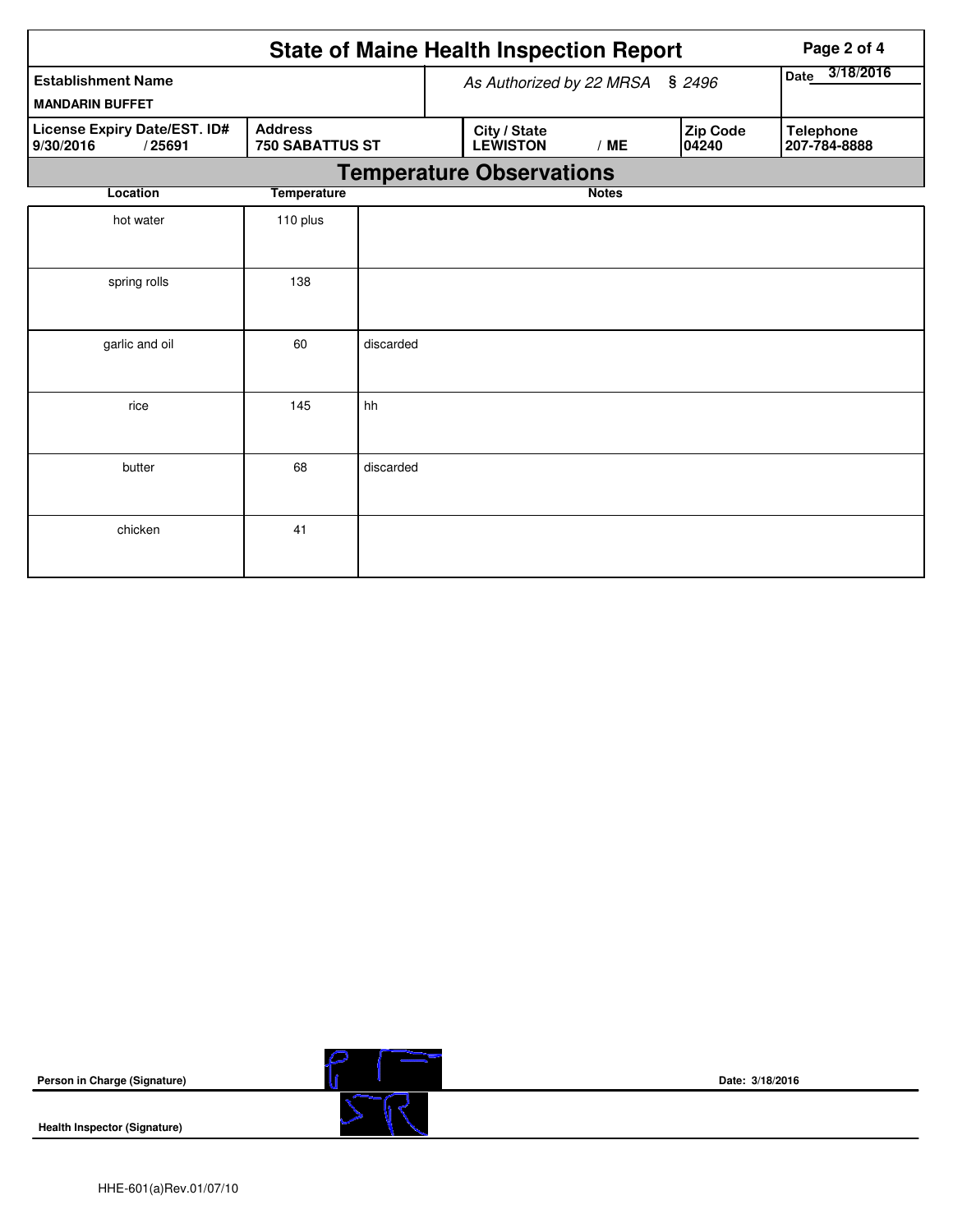|                                                                                                 | Page 2 of 4                     |                                 |                                 |              |     |                   |                                  |
|-------------------------------------------------------------------------------------------------|---------------------------------|---------------------------------|---------------------------------|--------------|-----|-------------------|----------------------------------|
| <b>Establishment Name</b>                                                                       | As Authorized by 22 MRSA § 2496 | 3/18/2016<br>Date               |                                 |              |     |                   |                                  |
| <b>MANDARIN BUFFET</b>                                                                          |                                 |                                 |                                 |              |     |                   |                                  |
| License Expiry Date/EST. ID#<br><b>Address</b><br><b>750 SABATTUS ST</b><br>9/30/2016<br>/25691 |                                 |                                 | City / State<br><b>LEWISTON</b> |              | /ME | Zip Code<br>04240 | <b>Telephone</b><br>207-784-8888 |
|                                                                                                 |                                 | <b>Temperature Observations</b> |                                 |              |     |                   |                                  |
| Location                                                                                        | <b>Temperature</b>              |                                 |                                 | <b>Notes</b> |     |                   |                                  |
| hot water                                                                                       | 110 plus                        |                                 |                                 |              |     |                   |                                  |
| spring rolls                                                                                    | 138                             |                                 |                                 |              |     |                   |                                  |
| garlic and oil                                                                                  | 60                              | discarded                       |                                 |              |     |                   |                                  |
| rice                                                                                            | 145                             | hh                              |                                 |              |     |                   |                                  |
| butter                                                                                          | 68                              | discarded                       |                                 |              |     |                   |                                  |
| chicken                                                                                         | 41                              |                                 |                                 |              |     |                   |                                  |

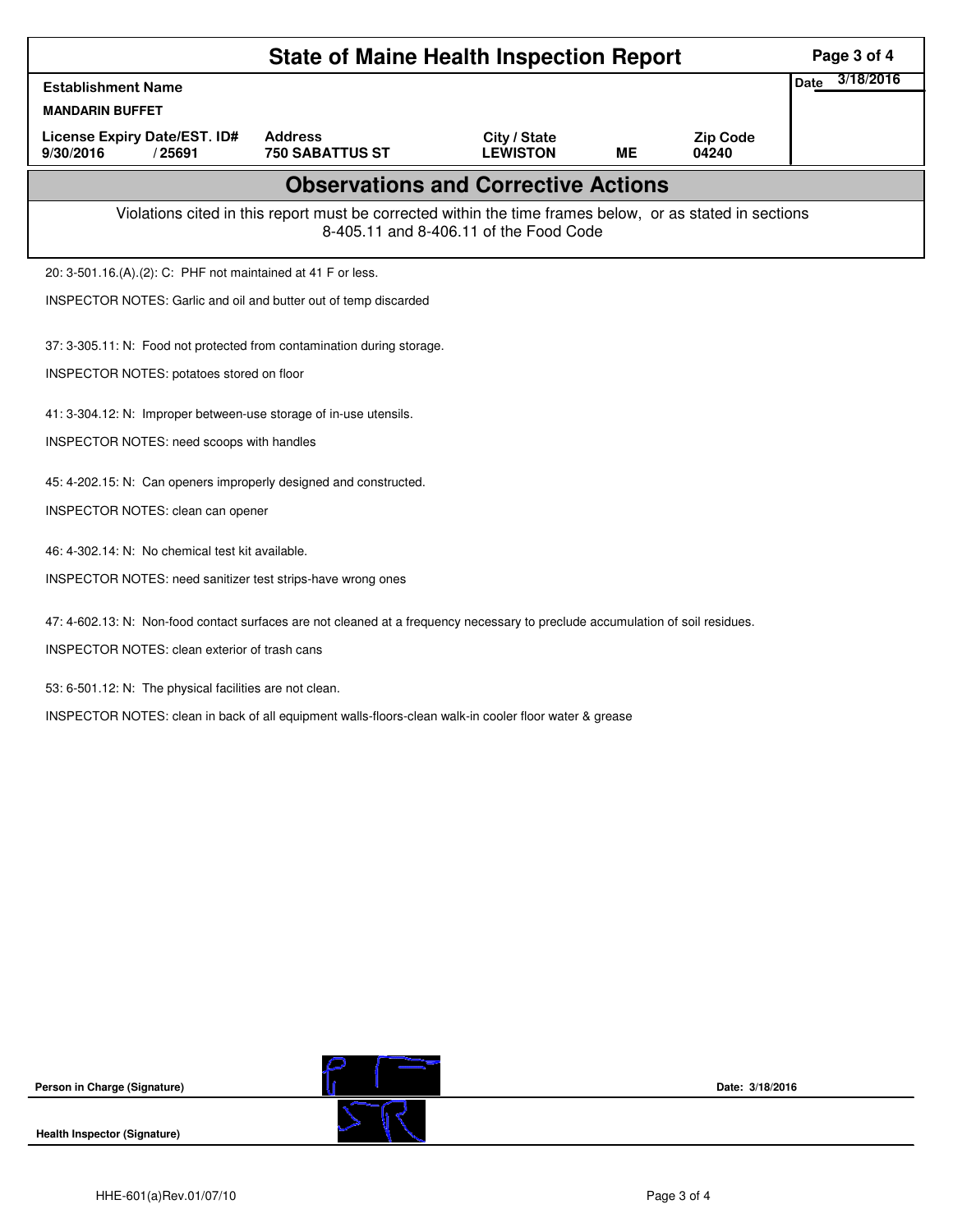|                                                                                                                                | Page 3 of 4                                                                                              |                                        |           |                          |                          |  |  |
|--------------------------------------------------------------------------------------------------------------------------------|----------------------------------------------------------------------------------------------------------|----------------------------------------|-----------|--------------------------|--------------------------|--|--|
| <b>Establishment Name</b>                                                                                                      |                                                                                                          |                                        |           |                          | 3/18/2016<br><b>Date</b> |  |  |
| <b>MANDARIN BUFFET</b>                                                                                                         |                                                                                                          |                                        |           |                          |                          |  |  |
| License Expiry Date/EST. ID#<br>9/30/2016<br>/25691                                                                            | <b>Address</b><br><b>750 SABATTUS ST</b>                                                                 | City / State<br><b>LEWISTON</b>        | <b>ME</b> | <b>Zip Code</b><br>04240 |                          |  |  |
|                                                                                                                                |                                                                                                          |                                        |           |                          |                          |  |  |
|                                                                                                                                | Violations cited in this report must be corrected within the time frames below, or as stated in sections | 8-405.11 and 8-406.11 of the Food Code |           |                          |                          |  |  |
| 20: 3-501.16.(A).(2): C: PHF not maintained at 41 F or less.                                                                   |                                                                                                          |                                        |           |                          |                          |  |  |
| INSPECTOR NOTES: Garlic and oil and butter out of temp discarded                                                               |                                                                                                          |                                        |           |                          |                          |  |  |
| 37: 3-305.11: N: Food not protected from contamination during storage.                                                         |                                                                                                          |                                        |           |                          |                          |  |  |
| INSPECTOR NOTES: potatoes stored on floor                                                                                      |                                                                                                          |                                        |           |                          |                          |  |  |
|                                                                                                                                |                                                                                                          |                                        |           |                          |                          |  |  |
| 41: 3-304.12: N: Improper between-use storage of in-use utensils.                                                              |                                                                                                          |                                        |           |                          |                          |  |  |
| INSPECTOR NOTES: need scoops with handles                                                                                      |                                                                                                          |                                        |           |                          |                          |  |  |
| 45: 4-202.15: N: Can openers improperly designed and constructed.                                                              |                                                                                                          |                                        |           |                          |                          |  |  |
| INSPECTOR NOTES: clean can opener                                                                                              |                                                                                                          |                                        |           |                          |                          |  |  |
| 46: 4-302.14: N: No chemical test kit available.                                                                               |                                                                                                          |                                        |           |                          |                          |  |  |
| INSPECTOR NOTES: need sanitizer test strips-have wrong ones                                                                    |                                                                                                          |                                        |           |                          |                          |  |  |
|                                                                                                                                |                                                                                                          |                                        |           |                          |                          |  |  |
| 47: 4-602.13: N: Non-food contact surfaces are not cleaned at a frequency necessary to preclude accumulation of soil residues. |                                                                                                          |                                        |           |                          |                          |  |  |
| <b>INSPECTOR NOTES: clean exterior of trash cans</b>                                                                           |                                                                                                          |                                        |           |                          |                          |  |  |
| 53: 6-501.12: N: The physical facilities are not clean.                                                                        |                                                                                                          |                                        |           |                          |                          |  |  |
| INSPECTOR NOTES: clean in back of all equipment walls-floors-clean walk-in cooler floor water & grease                         |                                                                                                          |                                        |           |                          |                          |  |  |
|                                                                                                                                |                                                                                                          |                                        |           |                          |                          |  |  |





**Date: 3/18/2016**